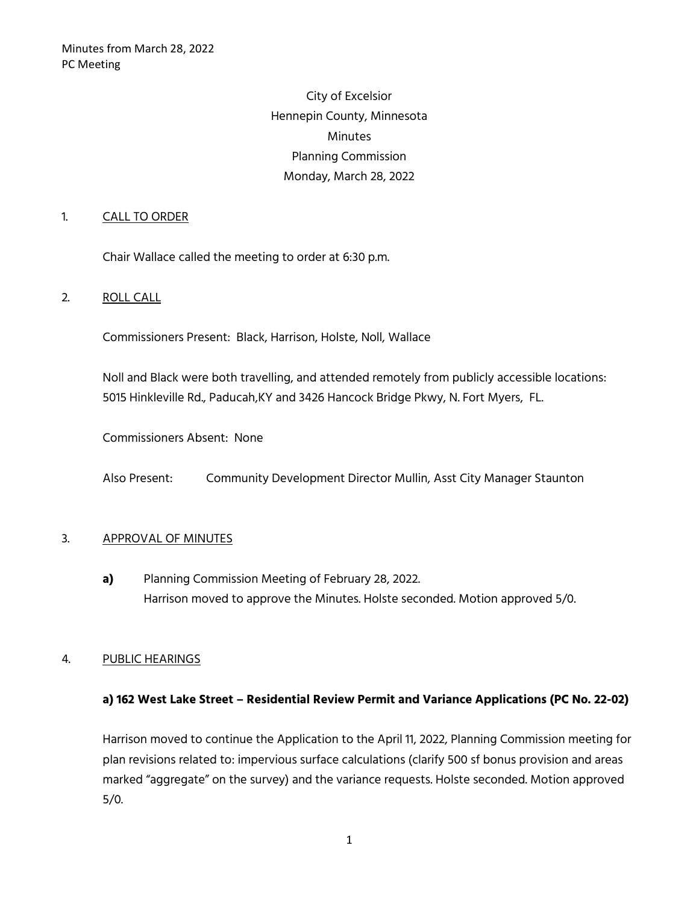# City of Excelsior Hennepin County, Minnesota Minutes Planning Commission Monday, March 28, 2022

#### 1. CALL TO ORDER

Chair Wallace called the meeting to order at 6:30 p.m.

#### 2. ROLL CALL

Commissioners Present: Black, Harrison, Holste, Noll, Wallace

Noll and Black were both travelling, and attended remotely from publicly accessible locations: 5015 Hinkleville Rd., Paducah,KY and 3426 Hancock Bridge Pkwy, N. Fort Myers, FL.

Commissioners Absent: None

Also Present: Community Development Director Mullin, Asst City Manager Staunton

#### 3. APPROVAL OF MINUTES

**a)** Planning Commission Meeting of February 28, 2022. Harrison moved to approve the Minutes. Holste seconded. Motion approved 5/0.

#### 4. PUBLIC HEARINGS

#### **a) 162 West Lake Street – Residential Review Permit and Variance Applications (PC No. 22-02)**

Harrison moved to continue the Application to the April 11, 2022, Planning Commission meeting for plan revisions related to: impervious surface calculations (clarify 500 sf bonus provision and areas marked "aggregate" on the survey) and the variance requests. Holste seconded. Motion approved 5/0.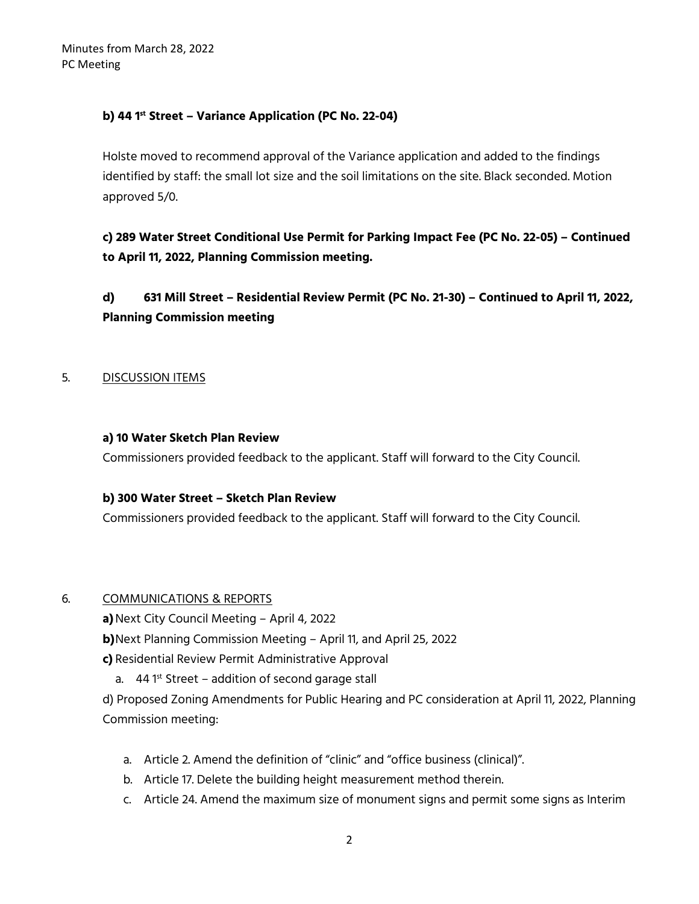# **b) 44 1st Street – Variance Application (PC No. 22-04)**

Holste moved to recommend approval of the Variance application and added to the findings identified by staff: the small lot size and the soil limitations on the site. Black seconded. Motion approved 5/0.

**c) 289 Water Street Conditional Use Permit for Parking Impact Fee (PC No. 22-05) – Continued to April 11, 2022, Planning Commission meeting.**

**d) 631 Mill Street – Residential Review Permit (PC No. 21-30) – Continued to April 11, 2022, Planning Commission meeting**

## 5. DISCUSSION ITEMS

## **a) 10 Water Sketch Plan Review**

Commissioners provided feedback to the applicant. Staff will forward to the City Council.

# **b) 300 Water Street – Sketch Plan Review**

Commissioners provided feedback to the applicant. Staff will forward to the City Council.

# 6. COMMUNICATIONS & REPORTS

- **a)**Next City Council Meeting April 4, 2022
- **b)**Next Planning Commission Meeting April 11, and April 25, 2022
- **c)** Residential Review Permit Administrative Approval
	- a.  $44.1$ <sup>st</sup> Street addition of second garage stall

d) Proposed Zoning Amendments for Public Hearing and PC consideration at April 11, 2022, Planning Commission meeting:

- a. Article 2. Amend the definition of "clinic" and "office business (clinical)".
- b. Article 17. Delete the building height measurement method therein.
- c. Article 24. Amend the maximum size of monument signs and permit some signs as Interim